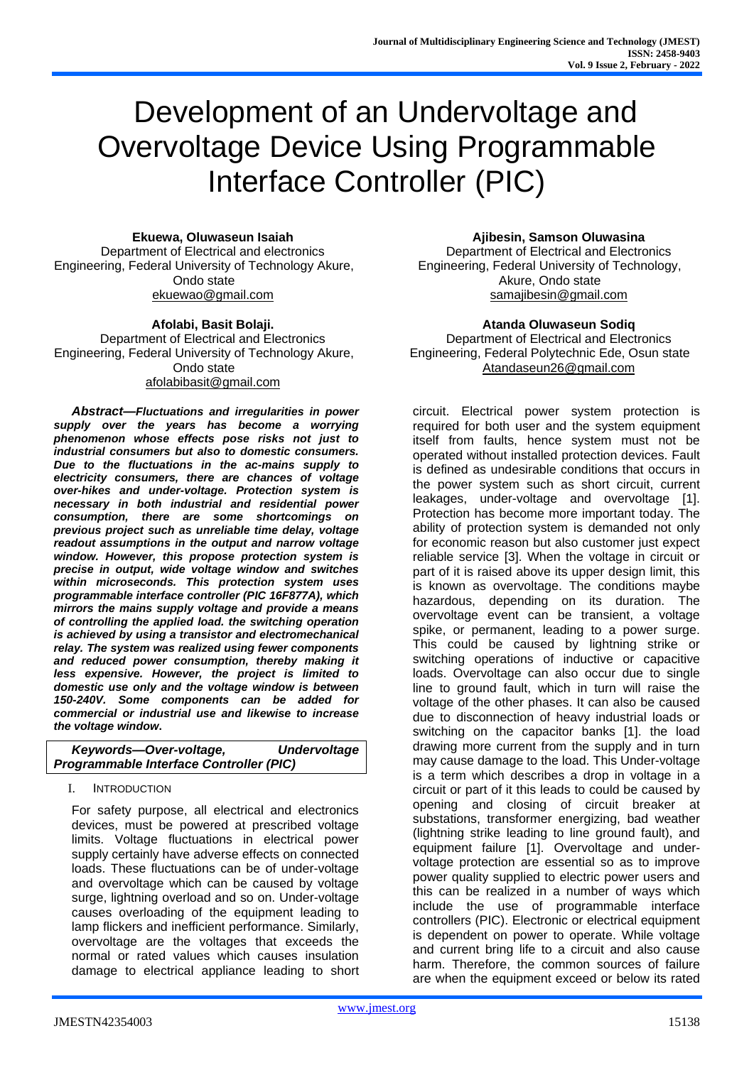# Development of an Undervoltage and Overvoltage Device Using Programmable Interface Controller (PIC)

**Ekuewa, Oluwaseun Isaiah**

Department of Electrical and electronics Engineering, Federal University of Technology Akure, Ondo state [ekuewao@gmail.com](mailto:ekuewao@gmail.com)

**Afolabi, Basit Bolaji.** Department of Electrical and Electronics Engineering, Federal University of Technology Akure, Ondo state [afolabibasit@gmail.com](mailto:afolabibasit@gmail.com)

*Abstract***—***Fluctuations and irregularities in power supply over the years has become a worrying phenomenon whose effects pose risks not just to industrial consumers but also to domestic consumers. Due to the fluctuations in the ac-mains supply to electricity consumers, there are chances of voltage over-hikes and under-voltage. Protection system is necessary in both industrial and residential power consumption, there are some shortcomings on previous project such as unreliable time delay, voltage readout assumptions in the output and narrow voltage window. However, this propose protection system is precise in output, wide voltage window and switches within microseconds. This protection system uses programmable interface controller (PIC 16F877A), which mirrors the mains supply voltage and provide a means of controlling the applied load. the switching operation is achieved by using a transistor and electromechanical relay. The system was realized using fewer components and reduced power consumption, thereby making it less expensive. However, the project is limited to domestic use only and the voltage window is between 150-240V. Some components can be added for commercial or industrial use and likewise to increase the voltage window***.**

| Keywords-Over-voltage,                         | <b>Undervoltage</b> |  |
|------------------------------------------------|---------------------|--|
| <b>Programmable Interface Controller (PIC)</b> |                     |  |

## I. INTRODUCTION

For safety purpose, all electrical and electronics devices, must be powered at prescribed voltage limits. Voltage fluctuations in electrical power supply certainly have adverse effects on connected loads. These fluctuations can be of under-voltage and overvoltage which can be caused by voltage surge, lightning overload and so on. Under-voltage causes overloading of the equipment leading to lamp flickers and inefficient performance. Similarly, overvoltage are the voltages that exceeds the normal or rated values which causes insulation damage to electrical appliance leading to short **Ajibesin, Samson Oluwasina**

Department of Electrical and Electronics Engineering, Federal University of Technology, Akure, Ondo state [samajibesin@gmail.com](mailto:samajibesin@gmail.com)

**Atanda Oluwaseun Sodiq** Department of Electrical and Electronics Engineering, Federal Polytechnic Ede, Osun state [Atandaseun26@gmail.com](mailto:Atandaseun26@gmail.com)

circuit. Electrical power system protection is required for both user and the system equipment itself from faults, hence system must not be operated without installed protection devices. Fault is defined as undesirable conditions that occurs in the power system such as short circuit, current leakages, under-voltage and overvoltage [1]. Protection has become more important today. The ability of protection system is demanded not only for economic reason but also customer just expect reliable service [3]. When the voltage in circuit or part of it is raised above its upper design limit, this is known as overvoltage. The conditions maybe hazardous, depending on its duration. The overvoltage event can be transient, a voltage spike, or permanent, leading to a power surge. This could be caused by lightning strike or switching operations of inductive or capacitive loads. Overvoltage can also occur due to single line to ground fault, which in turn will raise the voltage of the other phases. It can also be caused due to disconnection of heavy industrial loads or switching on the capacitor banks [1]. the load drawing more current from the supply and in turn may cause damage to the load. This Under-voltage is a term which describes a drop in voltage in a circuit or part of it this leads to could be caused by opening and closing of circuit breaker at substations, transformer energizing, bad weather (lightning strike leading to line ground fault), and equipment failure [1]. Overvoltage and undervoltage protection are essential so as to improve power quality supplied to electric power users and this can be realized in a number of ways which include the use of programmable interface controllers (PIC). Electronic or electrical equipment is dependent on power to operate. While voltage and current bring life to a circuit and also cause harm. Therefore, the common sources of failure are when the equipment exceed or below its rated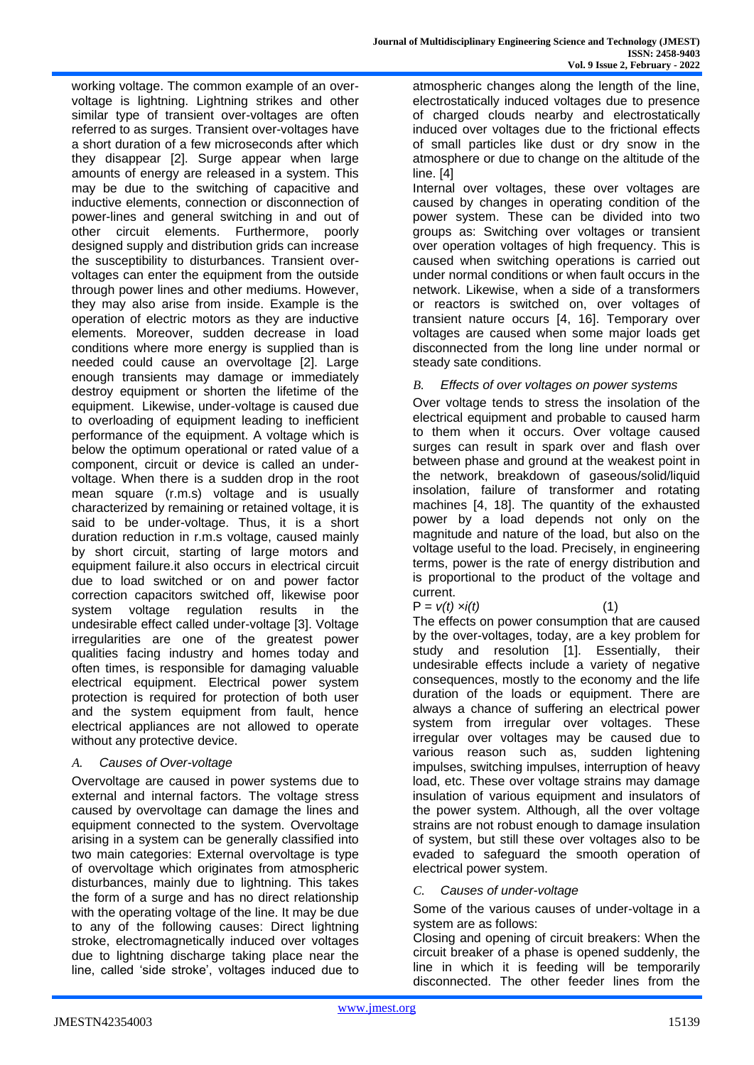working voltage. The common example of an overvoltage is lightning. Lightning strikes and other similar type of transient over-voltages are often referred to as surges. Transient over-voltages have a short duration of a few microseconds after which they disappear [2]. Surge appear when large amounts of energy are released in a system. This may be due to the switching of capacitive and inductive elements, connection or disconnection of power-lines and general switching in and out of other circuit elements. Furthermore, poorly designed supply and distribution grids can increase the susceptibility to disturbances. Transient overvoltages can enter the equipment from the outside through power lines and other mediums. However, they may also arise from inside. Example is the operation of electric motors as they are inductive elements. Moreover, sudden decrease in load conditions where more energy is supplied than is needed could cause an overvoltage [2]. Large enough transients may damage or immediately destroy equipment or shorten the lifetime of the equipment. Likewise, under-voltage is caused due to overloading of equipment leading to inefficient performance of the equipment. A voltage which is below the optimum operational or rated value of a component, circuit or device is called an undervoltage. When there is a sudden drop in the root mean square (r.m.s) voltage and is usually characterized by remaining or retained voltage, it is said to be under-voltage. Thus, it is a short duration reduction in r.m.s voltage, caused mainly by short circuit, starting of large motors and equipment failure.it also occurs in electrical circuit due to load switched or on and power factor correction capacitors switched off, likewise poor system voltage regulation results in the undesirable effect called under-voltage [3]. Voltage irregularities are one of the greatest power qualities facing industry and homes today and often times, is responsible for damaging valuable electrical equipment. Electrical power system protection is required for protection of both user and the system equipment from fault, hence electrical appliances are not allowed to operate without any protective device.

## *A. Causes of Over-voltage*

Overvoltage are caused in power systems due to external and internal factors. The voltage stress caused by overvoltage can damage the lines and equipment connected to the system. Overvoltage arising in a system can be generally classified into two main categories: External overvoltage is type of overvoltage which originates from atmospheric disturbances, mainly due to lightning. This takes the form of a surge and has no direct relationship with the operating voltage of the line. It may be due to any of the following causes: Direct lightning stroke, electromagnetically induced over voltages due to lightning discharge taking place near the line, called 'side stroke', voltages induced due to

atmospheric changes along the length of the line, electrostatically induced voltages due to presence of charged clouds nearby and electrostatically induced over voltages due to the frictional effects of small particles like dust or dry snow in the atmosphere or due to change on the altitude of the line. [4]

Internal over voltages, these over voltages are caused by changes in operating condition of the power system. These can be divided into two groups as: Switching over voltages or transient over operation voltages of high frequency. This is caused when switching operations is carried out under normal conditions or when fault occurs in the network. Likewise, when a side of a transformers or reactors is switched on, over voltages of transient nature occurs [4, 16]. Temporary over voltages are caused when some major loads get disconnected from the long line under normal or steady sate conditions.

*B. Effects of over voltages on power systems*

Over voltage tends to stress the insolation of the electrical equipment and probable to caused harm to them when it occurs. Over voltage caused surges can result in spark over and flash over between phase and ground at the weakest point in the network, breakdown of gaseous/solid/liquid insolation, failure of transformer and rotating machines [4, 18]. The quantity of the exhausted power by a load depends not only on the magnitude and nature of the load, but also on the voltage useful to the load. Precisely, in engineering terms, power is the rate of energy distribution and is proportional to the product of the voltage and current.

 $P = v(t) x i(t)$  (1)

The effects on power consumption that are caused by the over-voltages, today, are a key problem for study and resolution [1]. Essentially, their undesirable effects include a variety of negative consequences, mostly to the economy and the life duration of the loads or equipment. There are always a chance of suffering an electrical power system from irregular over voltages. These irregular over voltages may be caused due to various reason such as, sudden lightening impulses, switching impulses, interruption of heavy load, etc. These over voltage strains may damage insulation of various equipment and insulators of the power system. Although, all the over voltage strains are not robust enough to damage insulation of system, but still these over voltages also to be evaded to safeguard the smooth operation of electrical power system.

*C. Causes of under-voltage*

Some of the various causes of under-voltage in a system are as follows:

Closing and opening of circuit breakers: When the circuit breaker of a phase is opened suddenly, the line in which it is feeding will be temporarily disconnected. The other feeder lines from the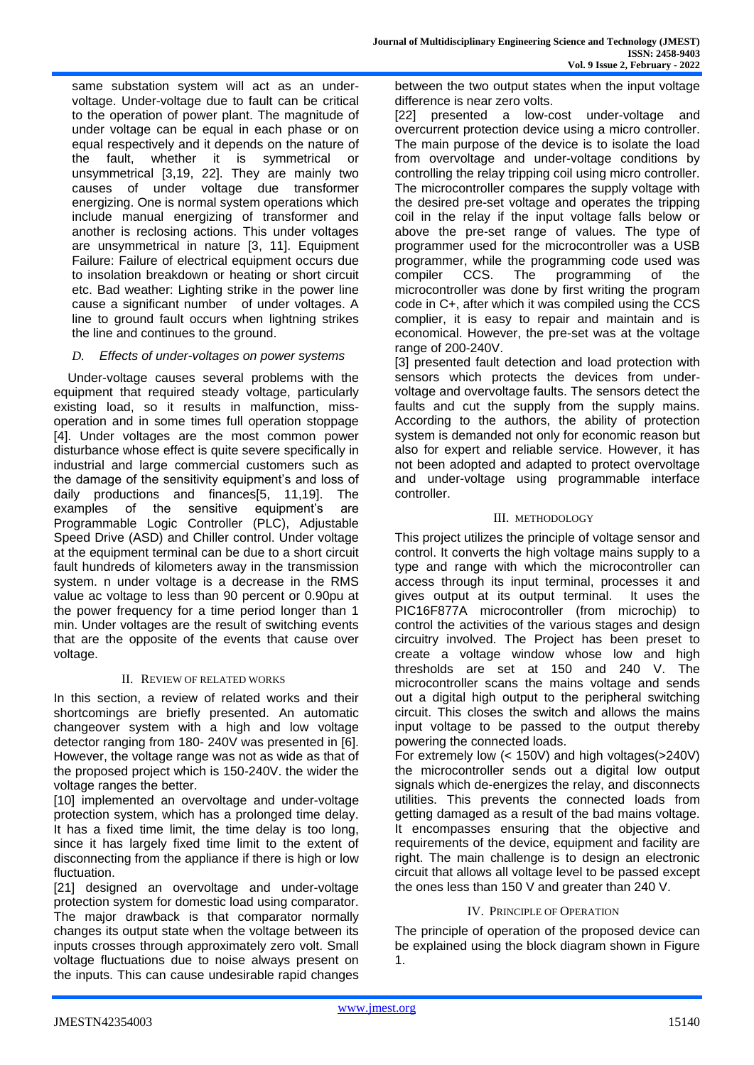same substation system will act as an undervoltage. Under-voltage due to fault can be critical to the operation of power plant. The magnitude of under voltage can be equal in each phase or on equal respectively and it depends on the nature of the fault, whether it is symmetrical or unsymmetrical [3,19, 22]. They are mainly two causes of under voltage due transformer energizing. One is normal system operations which include manual energizing of transformer and another is reclosing actions. This under voltages are unsymmetrical in nature [3, 11]. Equipment Failure: Failure of electrical equipment occurs due to insolation breakdown or heating or short circuit etc. Bad weather: Lighting strike in the power line cause a significant number of under voltages. A line to ground fault occurs when lightning strikes the line and continues to the ground.

### *D. Effects of under-voltages on power systems*

 Under-voltage causes several problems with the equipment that required steady voltage, particularly existing load, so it results in malfunction, missoperation and in some times full operation stoppage [4]. Under voltages are the most common power disturbance whose effect is quite severe specifically in industrial and large commercial customers such as the damage of the sensitivity equipment's and loss of daily productions and finances[5, 11,19]. The examples of the sensitive equipment's are Programmable Logic Controller (PLC), Adjustable Speed Drive (ASD) and Chiller control. Under voltage at the equipment terminal can be due to a short circuit fault hundreds of kilometers away in the transmission system. n under voltage is a decrease in the RMS value ac voltage to less than 90 percent or 0.90pu at the power frequency for a time period longer than 1 min. Under voltages are the result of switching events that are the opposite of the events that cause over voltage.

#### II. REVIEW OF RELATED WORKS

In this section, a review of related works and their shortcomings are briefly presented. An automatic changeover system with a high and low voltage detector ranging from 180- 240V was presented in [6]. However, the voltage range was not as wide as that of the proposed project which is 150-240V. the wider the voltage ranges the better.

[10] implemented an overvoltage and under-voltage protection system, which has a prolonged time delay. It has a fixed time limit, the time delay is too long, since it has largely fixed time limit to the extent of disconnecting from the appliance if there is high or low fluctuation.

[21] designed an overvoltage and under-voltage protection system for domestic load using comparator. The major drawback is that comparator normally changes its output state when the voltage between its inputs crosses through approximately zero volt. Small voltage fluctuations due to noise always present on the inputs. This can cause undesirable rapid changes between the two output states when the input voltage difference is near zero volts.

[22] presented a low-cost under-voltage and overcurrent protection device using a micro controller. The main purpose of the device is to isolate the load from overvoltage and under-voltage conditions by controlling the relay tripping coil using micro controller. The microcontroller compares the supply voltage with the desired pre-set voltage and operates the tripping coil in the relay if the input voltage falls below or above the pre-set range of values. The type of programmer used for the microcontroller was a USB programmer, while the programming code used was compiler CCS. The programming of the microcontroller was done by first writing the program code in C+, after which it was compiled using the CCS complier, it is easy to repair and maintain and is economical. However, the pre-set was at the voltage range of 200-240V.

[3] presented fault detection and load protection with sensors which protects the devices from undervoltage and overvoltage faults. The sensors detect the faults and cut the supply from the supply mains. According to the authors, the ability of protection system is demanded not only for economic reason but also for expert and reliable service. However, it has not been adopted and adapted to protect overvoltage and under-voltage using programmable interface controller.

#### III. METHODOLOGY

This project utilizes the principle of voltage sensor and control. It converts the high voltage mains supply to a type and range with which the microcontroller can access through its input terminal, processes it and gives output at its output terminal. It uses the PIC16F877A microcontroller (from microchip) to control the activities of the various stages and design circuitry involved. The Project has been preset to create a voltage window whose low and high thresholds are set at 150 and 240 V. The microcontroller scans the mains voltage and sends out a digital high output to the peripheral switching circuit. This closes the switch and allows the mains input voltage to be passed to the output thereby powering the connected loads.

For extremely low (< 150V) and high voltages(>240V) the microcontroller sends out a digital low output signals which de-energizes the relay, and disconnects utilities. This prevents the connected loads from getting damaged as a result of the bad mains voltage. It encompasses ensuring that the objective and requirements of the device, equipment and facility are right. The main challenge is to design an electronic circuit that allows all voltage level to be passed except the ones less than 150 V and greater than 240 V.

## IV. PRINCIPLE OF OPERATION

The principle of operation of the proposed device can be explained using the block diagram shown in Figure 1.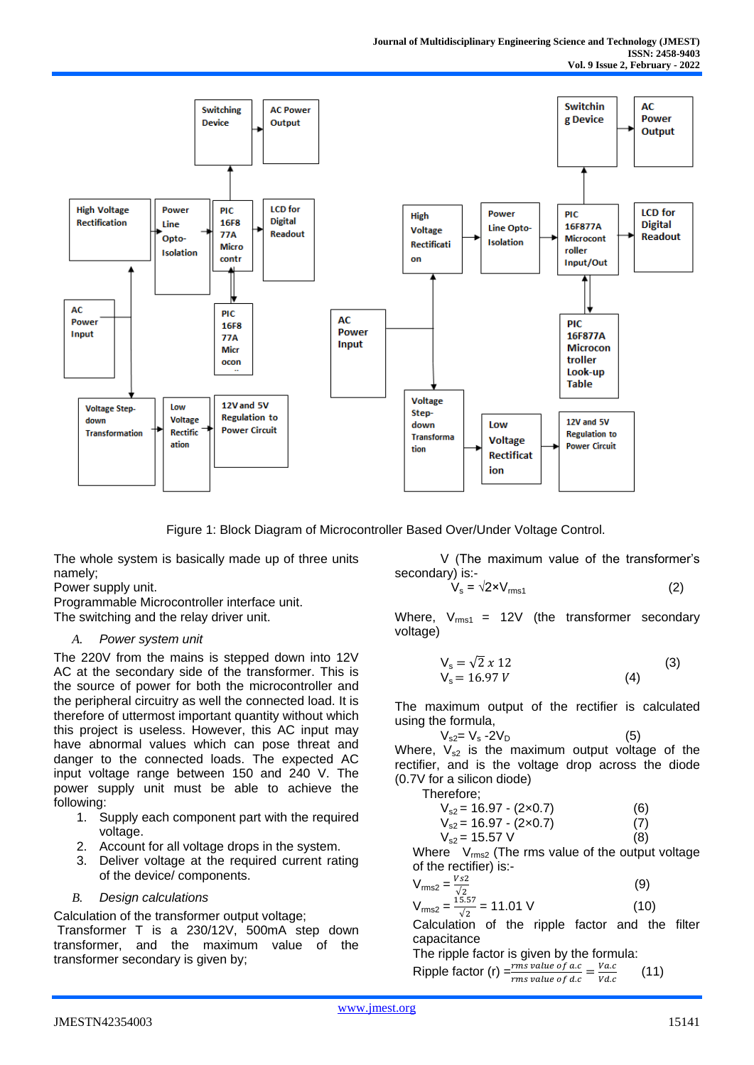

Figure 1: Block Diagram of Microcontroller Based Over/Under Voltage Control.

The whole system is basically made up of three units namely;

Power supply unit.

Programmable Microcontroller interface unit. The switching and the relay driver unit.

## *A. Power system unit*

The 220V from the mains is stepped down into 12V AC at the secondary side of the transformer. This is the source of power for both the microcontroller and the peripheral circuitry as well the connected load. It is therefore of uttermost important quantity without which this project is useless. However, this AC input may have abnormal values which can pose threat and danger to the connected loads. The expected AC input voltage range between 150 and 240 V. The power supply unit must be able to achieve the following:

- 1. Supply each component part with the required voltage.
- 2. Account for all voltage drops in the system.
- 3. Deliver voltage at the required current rating of the device/ components.

## *B. Design calculations*

Calculation of the transformer output voltage;

Transformer T is a 230/12V, 500mA step down transformer, and the maximum value of the transformer secondary is given by;

 V (The maximum value of the transformer's secondary) is:-

$$
V_s = \sqrt{2 \times V_{\text{rms1}}}
$$
 (2)

Where,  $V_{\text{rms1}}$  = 12V (the transformer secondary voltage)

$$
V_s = \sqrt{2} x 12
$$
  
\n
$$
V_s = 16.97 V
$$
\n(3)

The maximum output of the rectifier is calculated using the formula,

$$
V_{s2} = V_s - 2V_D
$$
 (5)  
Where,  $V_{s2}$  is the maximum output voltage of the

rectifier, and is the voltage drop across the diode (0.7V for a silicon diode)

Therefore;

$$
V_{s2} = 16.97 - (2 \times 0.7)
$$
 (6)  
\n
$$
V_{s2} = 16.97 - (2 \times 0.7)
$$
 (7)  
\n
$$
V_{s2} = 15.57
$$
 V (8)

Where  $V_{rms2}$  (The rms value of the output voltage of the rectifier) is:-

$$
V_{\text{rms2}} = \frac{V_{s2}}{\sqrt{2}}
$$
 (9)  

$$
V_{\text{rms2}} = \frac{15.57}{\sqrt{2}} = 11.01 \text{ V}
$$
 (10)

√2 Calculation of the ripple factor and the filter capacitance

The ripple factor is given by the formula: Ripple factor (r)  $\frac{rms \ value \ of \ ac}{rms \ number \ of \ d.s} = \frac{Vac}{V d.s}$ *rms value of d.c*  $\overline{Vdc}$ (11)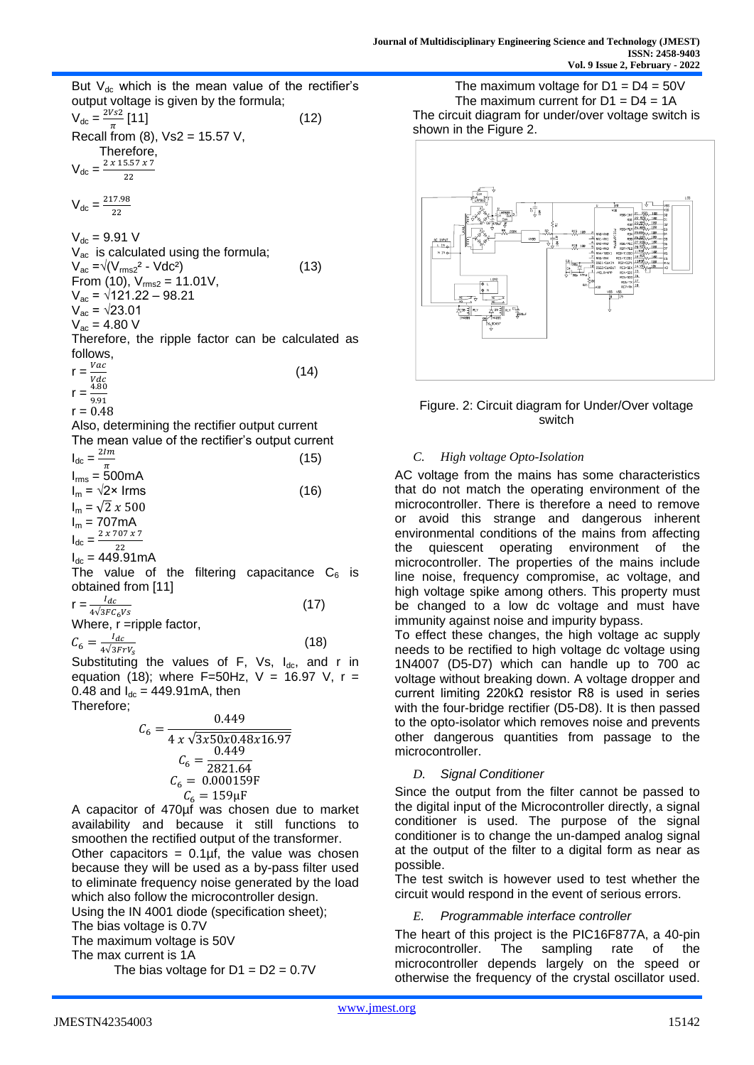But  $V_{dc}$  which is the mean value of the rectifier's output voltage is given by the formula;  $V_{\text{dc}} = \frac{2Vs2}{\pi}$  $\frac{1}{\pi}$ [11] (12) Recall from  $(8)$ ,  $Vs2 = 15.57$  V, Therefore,  $V_{\text{dc}} = \frac{2 \times 15.57 \times 7}{22}$ 22  $V_{\text{dc}} = \frac{217.98}{33}$ 22  $V_{\text{dc}} = 9.91 \text{ V}$  $V_{ac}$  is calculated using the formula;  $V_{ac} = \sqrt{(V_{rms2}^2 - Vdc^2)}$  (13) From (10),  $V_{rms2} = 11.01V$ ,  $V_{\text{ac}} = \sqrt{121.22} - 98.21$  $V_{\text{ac}} = \sqrt{23.01}$  $V_{ac} = 4.80 V$ Therefore, the ripple factor can be calculated as follows,  $r = \frac{Vac}{V}$ Vdc  $(14)$  $r = \frac{4.80}{0.04}$ 9.91  $r = 0.48$ Also, determining the rectifier output current The mean value of the rectifier's output current  $I_{dc} = \frac{2Im}{\tau}$  $\pi$  (15)  $I_{rms} = 500mA$  $I_m = \sqrt{2} \times I$  Irms (16)  $I_m = \sqrt{2} x 500$  $I_m = 707mA$  $I_{dc} = \frac{2 \times 707 \times 7}{32}$ 22  $I_{dc} = 449.91 \text{mA}$ The value of the filtering capacitance  $C_6$  is obtained from [11]  $r = \frac{I_{dc}}{I_{c}R}$  $4\sqrt{3}FC_6Vs$  (17) Where, r =ripple factor,  $C_6 = \frac{I_{dc}}{4\sqrt{3E_1}}$  $4\sqrt{3}FrV_S$  (18) Substituting the values of F, Vs,  $I_{dc}$ , and r in equation (18); where  $F=50Hz$ ,  $V = 16.97 V$ ,  $r =$ 

0.48 and  $I_{dc} = 449.91 \text{ mA}$ , then Therefore;

$$
C_6 = \frac{0.449}{4 x \sqrt{3x50x0.48x16.97}}
$$

$$
C_6 = \frac{0.449}{2821.64}
$$

$$
C_6 = 0.000159F
$$

$$
C_6 = 159 \mu F
$$

A capacitor of 470µf was chosen due to market availability and because it still functions to smoothen the rectified output of the transformer. Other capacitors =  $0.1$ µf, the value was chosen because they will be used as a by-pass filter used to eliminate frequency noise generated by the load which also follow the microcontroller design. Using the IN 4001 diode (specification sheet);

The bias voltage is 0.7V

The maximum voltage is 50V

The max current is 1A

The bias voltage for  $D1 = D2 = 0.7V$ 

The maximum voltage for  $D1 = D4 = 50V$ The maximum current for  $D1 = D4 = 1A$ The circuit diagram for under/over voltage switch is shown in the Figure 2.



Figure. 2: Circuit diagram for Under/Over voltage switch

#### *C. High voltage Opto-Isolation*

AC voltage from the mains has some characteristics that do not match the operating environment of the microcontroller. There is therefore a need to remove or avoid this strange and dangerous inherent environmental conditions of the mains from affecting the quiescent operating environment of the microcontroller. The properties of the mains include line noise, frequency compromise, ac voltage, and high voltage spike among others. This property must be changed to a low dc voltage and must have immunity against noise and impurity bypass.

To effect these changes, the high voltage ac supply needs to be rectified to high voltage dc voltage using 1N4007 (D5-D7) which can handle up to 700 ac voltage without breaking down. A voltage dropper and current limiting 220kΩ resistor R8 is used in series with the four-bridge rectifier (D5-D8). It is then passed to the opto-isolator which removes noise and prevents other dangerous quantities from passage to the microcontroller.

## *D. Signal Conditioner*

Since the output from the filter cannot be passed to the digital input of the Microcontroller directly, a signal conditioner is used. The purpose of the signal conditioner is to change the un-damped analog signal at the output of the filter to a digital form as near as possible.

The test switch is however used to test whether the circuit would respond in the event of serious errors.

## *E. Programmable interface controller*

The heart of this project is the PIC16F877A, a 40-pin<br>microcontroller. The sampling rate of the The sampling rate of the microcontroller depends largely on the speed or otherwise the frequency of the crystal oscillator used.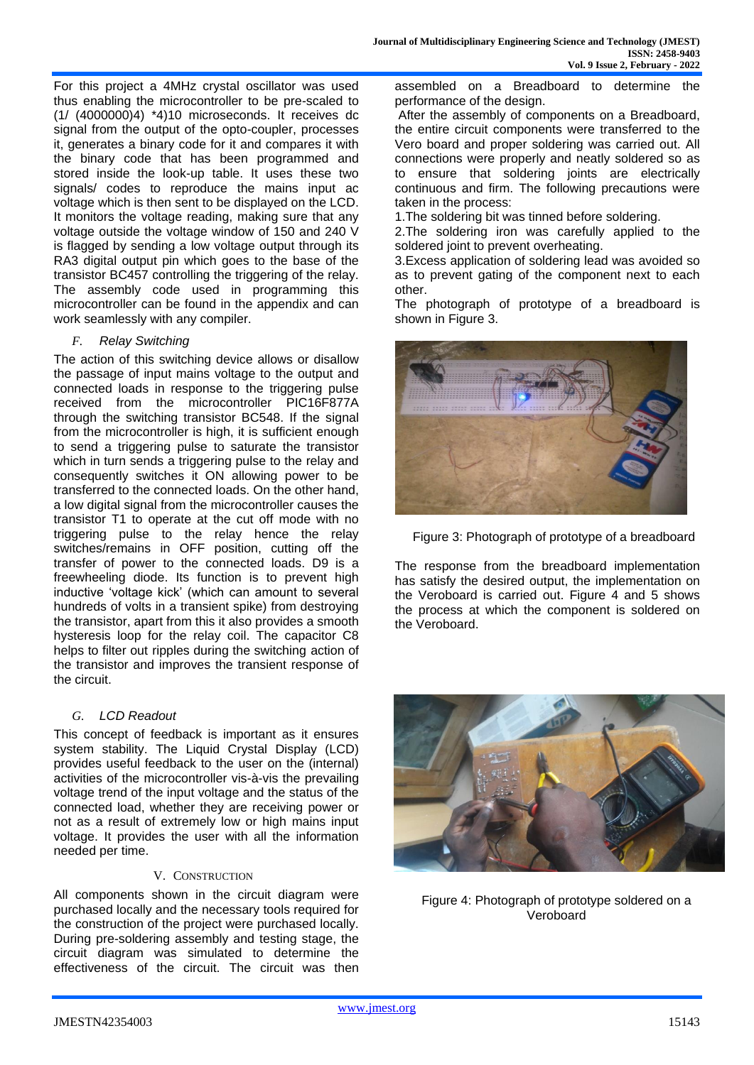For this project a 4MHz crystal oscillator was used thus enabling the microcontroller to be pre-scaled to (1/ (4000000)4) \*4)10 microseconds. It receives dc signal from the output of the opto-coupler, processes it, generates a binary code for it and compares it with the binary code that has been programmed and stored inside the look-up table. It uses these two signals/ codes to reproduce the mains input ac voltage which is then sent to be displayed on the LCD. It monitors the voltage reading, making sure that any voltage outside the voltage window of 150 and 240 V is flagged by sending a low voltage output through its RA3 digital output pin which goes to the base of the transistor BC457 controlling the triggering of the relay. The assembly code used in programming this microcontroller can be found in the appendix and can work seamlessly with any compiler.

#### *F. Relay Switching*

The action of this switching device allows or disallow the passage of input mains voltage to the output and connected loads in response to the triggering pulse received from the microcontroller PIC16F877A through the switching transistor BC548. If the signal from the microcontroller is high, it is sufficient enough to send a triggering pulse to saturate the transistor which in turn sends a triggering pulse to the relay and consequently switches it ON allowing power to be transferred to the connected loads. On the other hand, a low digital signal from the microcontroller causes the transistor T1 to operate at the cut off mode with no triggering pulse to the relay hence the relay switches/remains in OFF position, cutting off the transfer of power to the connected loads. D9 is a freewheeling diode. Its function is to prevent high inductive 'voltage kick' (which can amount to several hundreds of volts in a transient spike) from destroying the transistor, apart from this it also provides a smooth hysteresis loop for the relay coil. The capacitor C8 helps to filter out ripples during the switching action of the transistor and improves the transient response of the circuit.

#### *G. LCD Readout*

This concept of feedback is important as it ensures system stability. The Liquid Crystal Display (LCD) provides useful feedback to the user on the (internal) activities of the microcontroller vis-à-vis the prevailing voltage trend of the input voltage and the status of the connected load, whether they are receiving power or not as a result of extremely low or high mains input voltage. It provides the user with all the information needed per time.

#### V. CONSTRUCTION

All components shown in the circuit diagram were purchased locally and the necessary tools required for the construction of the project were purchased locally. During pre-soldering assembly and testing stage, the circuit diagram was simulated to determine the effectiveness of the circuit. The circuit was then assembled on a Breadboard to determine the performance of the design.

After the assembly of components on a Breadboard, the entire circuit components were transferred to the Vero board and proper soldering was carried out. All connections were properly and neatly soldered so as to ensure that soldering joints are electrically continuous and firm. The following precautions were taken in the process:

1.The soldering bit was tinned before soldering.

2.The soldering iron was carefully applied to the soldered joint to prevent overheating.

3.Excess application of soldering lead was avoided so as to prevent gating of the component next to each other.

The photograph of prototype of a breadboard is shown in Figure 3.



Figure 3: Photograph of prototype of a breadboard

The response from the breadboard implementation has satisfy the desired output, the implementation on the Veroboard is carried out. Figure 4 and 5 shows the process at which the component is soldered on the Veroboard.



Figure 4: Photograph of prototype soldered on a Veroboard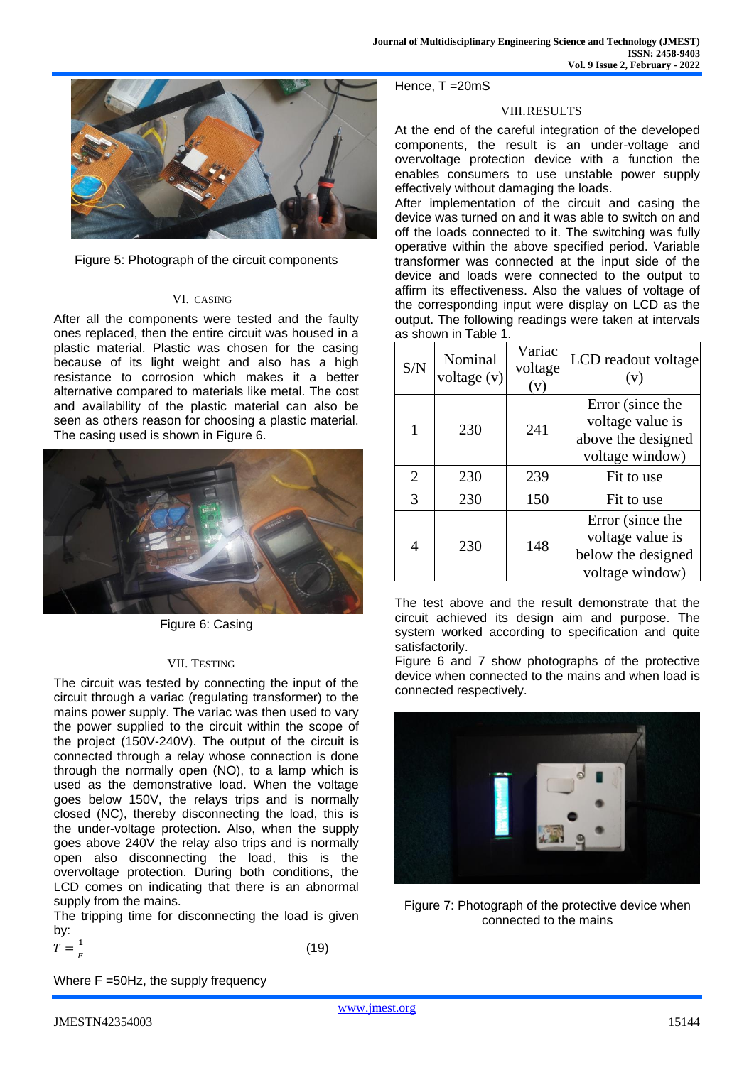

Figure 5: Photograph of the circuit components

#### VI. CASING

After all the components were tested and the faulty ones replaced, then the entire circuit was housed in a plastic material. Plastic was chosen for the casing because of its light weight and also has a high resistance to corrosion which makes it a better alternative compared to materials like metal. The cost and availability of the plastic material can also be seen as others reason for choosing a plastic material. The casing used is shown in Figure 6.



Figure 6: Casing

## VII. TESTING

The circuit was tested by connecting the input of the circuit through a variac (regulating transformer) to the mains power supply. The variac was then used to vary the power supplied to the circuit within the scope of the project (150V-240V). The output of the circuit is connected through a relay whose connection is done through the normally open (NO), to a lamp which is used as the demonstrative load. When the voltage goes below 150V, the relays trips and is normally closed (NC), thereby disconnecting the load, this is the under-voltage protection. Also, when the supply goes above 240V the relay also trips and is normally open also disconnecting the load, this is the overvoltage protection. During both conditions, the LCD comes on indicating that there is an abnormal supply from the mains.

The tripping time for disconnecting the load is given by:

$$
T = \frac{1}{F}
$$

Where F =50Hz, the supply frequency

Hence, T =20mS

## VIII.RESULTS

At the end of the careful integration of the developed components, the result is an under-voltage and overvoltage protection device with a function the enables consumers to use unstable power supply effectively without damaging the loads.

After implementation of the circuit and casing the device was turned on and it was able to switch on and off the loads connected to it. The switching was fully operative within the above specified period. Variable transformer was connected at the input side of the device and loads were connected to the output to affirm its effectiveness. Also the values of voltage of the corresponding input were display on LCD as the output. The following readings were taken at intervals as shown in Table 1.

| S/N            | Nominal<br>voltage $(v)$ | Variac<br>voltage<br>(v) | LCD readout voltage<br>(v)                                                    |
|----------------|--------------------------|--------------------------|-------------------------------------------------------------------------------|
|                | 230                      | 241                      | Error (since the<br>voltage value is<br>above the designed<br>voltage window) |
| $\overline{2}$ | 230                      | 239                      | Fit to use                                                                    |
| 3              | 230                      | 150                      | Fit to use                                                                    |
| 4              | 230                      | 148                      | Error (since the<br>voltage value is<br>below the designed<br>voltage window) |

The test above and the result demonstrate that the circuit achieved its design aim and purpose. The system worked according to specification and quite satisfactorily.

Figure 6 and 7 show photographs of the protective device when connected to the mains and when load is connected respectively.



Figure 7: Photograph of the protective device when connected to the mains

(19)